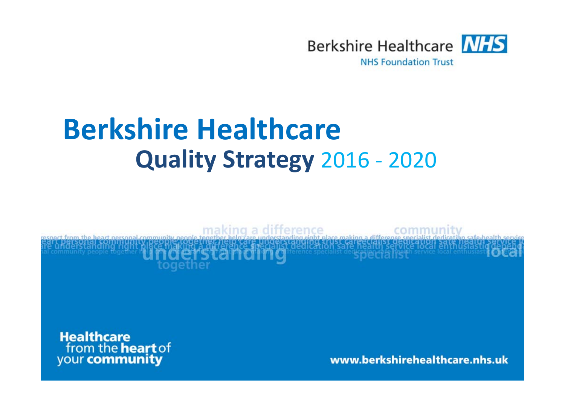

# **Berkshire Healthcare Quality Strategy** <sup>2016</sup> ‐ <sup>2020</sup>

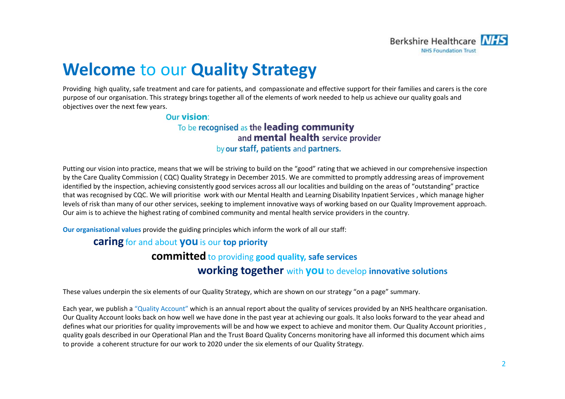

## **Welcome** to our **Quality Strategy**

Providing high quality, safe treatment and care for patients, and compassionate and effective support for their families and carers is the core purpose of our organisation. This strategy brings together all of the elements of work needed to help us achieve our quality goals and objectives over the next few years.

#### **Our vision:**

### To be recognised as the leading community and **mental health** service provider by our staff, patients and partners.

Putting our vision into practice, means that we will be striving to build on the "good" rating that we achieved in our comprehensive inspection by the Care Quality Commission ( CQC) Quality Strategy in December 2015. We are committed to promptly addressing areas of improvement identified by the inspection, achieving consistently good services across all our localities and building on the areas of "outstanding" practice that was recognised by CQC. We will prioritise work with our Mental Health and Learning Disability Inpatient Services , which manage higher levels of risk than many of our other services, seeking to implement innovative ways of working based on our Quality Improvement approach. Our aim is to achieve the highest rating of combined community and mental health service providers in the country.

**Our organisational values** provide the guiding principles which inform the work of all our staff:

### **caring** for and about **you** is our **top priority**

## **committed** to providing **good quality, safe services**

## **working together** with **you** to develop **innovative solutions**

These values underpin the six elements of our Quality Strategy, which are shown on our strategy "on <sup>a</sup> page" summary.

Each year, we publish a "Quality Account" which is an annual report about the quality of services provided by an NHS healthcare organisation. Our Quality Account looks back on how well we have done in the past year at achieving our goals. It also looks forward to the year ahead and defines what our priorities for quality improvements will be and how we expect to achieve and monitor them. Our Quality Account priorities , quality goals described in our Operational Plan and the Trust Board Quality Concerns monitoring have all informed this document which aims to provide <sup>a</sup> coherent structure for our work to 2020 under the six elements of our Quality Strategy.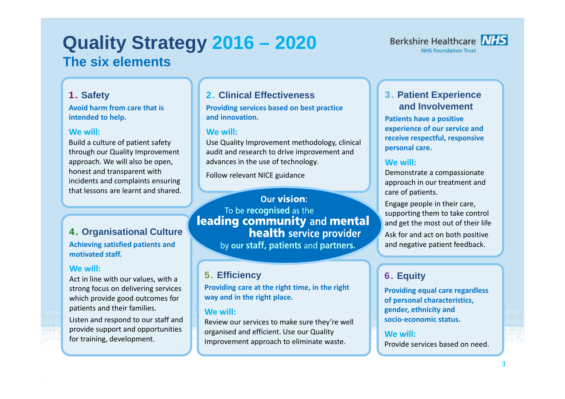## **Quality Strategy 2016 – 2020 The six elements**



#### 1. **Safety**

**Avoid harm from care that is intended to help.**

#### **We will:**

Build <sup>a</sup> culture of patient safety through our Quality Improvement approach. We will also be open, honest and transparent with incidents and complaints ensuring that lessons are learnt and shared.

#### 4. **Organisational Culture Achieving satisfied patients and motivated staff.**

#### **We will:**

Act in line with our values, with <sup>a</sup> strong focus on delivering services which provide good outcomes for patients and their families.

Listen and respond to our staff and provide support and opportunities for training, development.

## 2. **Clinical Effectiveness**

**Providing services based on best practice and innovation.**

#### **We will:**

Use Quality Improvement methodology, clinical audit and research to drive improvement and advances in the use of technology.

Follow relevant NICE guidance

### Our vision: To be recognised as the leading community and mental **health** service provider by our staff, patients and partners.

## 5. **Efficiency**

**Providing care at the right time, in the right way and in the right place.**

#### **We will:**

Review our services to make sure they're well organised and efficient. Use our Quality Improvement approach to eliminate waste.

## 3. **Patient Experience and Involvement**

**Patients have <sup>a</sup> positive experience of our service and receive respectful, responsive personal care.**

### **We will:**

Demonstrate <sup>a</sup> compassionate approach in our treatment and care of patients.

Engage people in their care, supporting them to take control and get the most out of their life Ask for and act on both positive and negative patient feedback.

## 6. **Equity**

**Providing equal care regardless of personal characteristics, gender, ethnicity and socio‐economic status.**

#### **We will:**

Provide services based on need.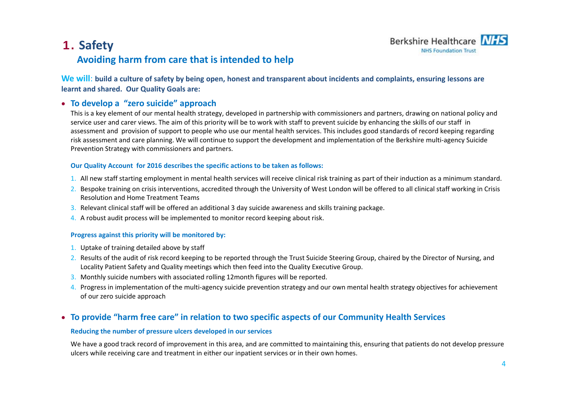## 1. **Safety Avoiding harm from care that is intended to help**



We will: build a culture of safety by being open, honest and transparent about incidents and complaints, ensuring lessons are **learnt and shared. Our Quality Goals are:**

#### **To develop <sup>a</sup> "zero suicide" approach**

This is a key element of our mental health strategy, developed in partnership with commissioners and partners, drawing on national policy and service user and carer views. The aim of this priority will be to work with staff to prevent suicide by enhancing the skills of our staff in assessment and provision of support to people who use our mental health services. This includes good standards of record keeping regarding risk assessment and care planning. We will continue to support the development and implementation of the Berkshire multi‐agency Suicide Prevention Strategy with commissioners and partners.

#### **Our Quality Account for 2016 describes the specific actions to be taken as follows:**

- 1. All new staff starting employment in mental health services will receive clinical risk training as part of their induction as a minimum standard.
- 2. Bespoke training on crisis interventions, accredited through the University of West London will be offered to all clinical staff working in Crisis Resolution and Home Treatment Teams
- 3. Relevant clinical staff will be offered an additional 3 day suicide awareness and skills training package.
- 4. A robust audit process will be implemented to monitor record keeping about risk.

#### **Progress against this priority will be monitored by:**

- 1. Uptake of training detailed above by staff
- 2. Results of the audit of risk record keeping to be reported through the Trust Suicide Steering Group, chaired by the Director of Nursing, and Locality Patient Safety and Quality meetings which then feed into the Quality Executive Group.
- 3. Monthly suicide numbers with associated rolling 12month figures will be reported.
- 4. Progress in implementation of the multi-agency suicide prevention strategy and our own mental health strategy objectives for achievement of our zero suicide approach

#### **To provide "harm free care" in relation to two specific aspects of our Community Health Services**

#### **Reducing the number of pressure ulcers developed in our services**

We have <sup>a</sup> good track record of improvement in this area, and are committed to maintaining this, ensuring that patients do not develop pressure ulcers while receiving care and treatment in either our inpatient services or in their own homes.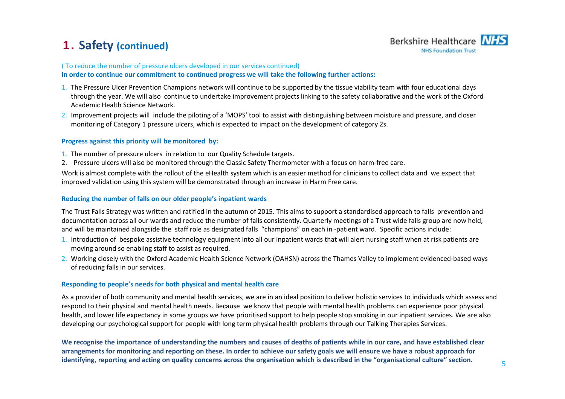## 1. **Safety (continued)**



#### ( To reduce the number of pressure ulcers developed in our services continued)

**In order to continue our commitment to continued progress we will take the following further actions:**

- 1. The Pressure Ulcer Prevention Champions network will continue to be supported by the tissue viability team with four educational days through the year. We will also continue to undertake improvement projects linking to the safety collaborative and the work of the Oxford Academic Health Science Network.
- 2. Improvement projects will include the piloting of <sup>a</sup> 'MOPS' tool to assist with distinguishing between moisture and pressure, and closer monitoring of Category 1 pressure ulcers, which is expected to impact on the development of category 2s.

#### **Progress against this priority will be monitored by:**

- 1. The number of pressure ulcers in relation to our Quality Schedule targets.
- 2. Pressure ulcers will also be monitored through the Classic Safety Thermometer with <sup>a</sup> focus on harm‐free care.

Work is almost complete with the rollout of the eHealth system which is an easier method for clinicians to collect data and we expect that improved validation using this system will be demonstrated through an increase in Harm Free care.

#### **Reducing the number of falls on our older people's inpatient wards**

The Trust Falls Strategy was written and ratified in the autumn of 2015. This aims to support <sup>a</sup> standardised approach to falls prevention and documentation across all our wards and reduce the number of falls consistently. Quarterly meetings of <sup>a</sup> Trust wide falls group are now held, and will be maintained alongside the staff role as designated falls "champions" on each in ‐patient ward. Specific actions include:

- 1. Introduction of bespoke assistive technology equipment into all our inpatient wards that will alert nursing staff when at risk patients are moving around so enabling staff to assist as required.
- 2. Working closely with the Oxford Academic Health Science Network (OAHSN) across the Thames Valley to implement evidenced‐based ways of reducing falls in our services.

#### **Responding to people's needs for both physical and mental health care**

As a provider of both community and mental health services, we are in an ideal position to deliver holistic services to individuals which assess and respond to their physical and mental health needs. Because we know that people with mental health problems can experience poor physical health, and lower life expectancy in some groups we have prioritised support to help people stop smoking in our inpatient services. We are also developing our psychological support for people with long term physical health problems through our Talking Therapies Services.

We recognise the importance of understanding the numbers and causes of deaths of patients while in our care, and have established clear arrangements for monitoring and reporting on these. In order to achieve our safety goals we will ensure we have a robust approach for identifying, reporting and acting on quality concerns across the organisation which is described in the "organisational culture" section.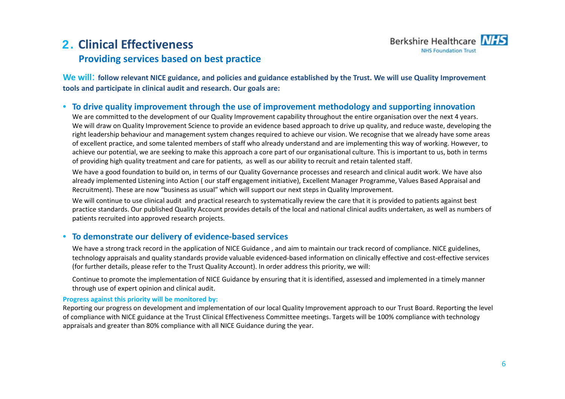## 2. **Clinical EffectivenessProviding services based on best practice**



We will: follow relevant NICE guidance, and policies and guidance established by the Trust. We will use Quality Improvement **tools and participate in clinical audit and research. Our goals are:**

#### • **To drive quality improvement through the use of improvement methodology and supporting innovation**

We are committed to the development of our Quality Improvement capability throughout the entire organisation over the next 4 years. We will draw on Quality Improvement Science to provide an evidence based approach to drive up quality, and reduce waste, developing the right leadership behaviour and management system changes required to achieve our vision. We recognise that we already have some areas of excellent practice, and some talented members of staff who already understand and are implementing this way of working. However, to achieve our potential, we are seeking to make this approach <sup>a</sup> core part of our organisational culture. This is important to us, both in terms of providing high quality treatment and care for patients, as well as our ability to recruit and retain talented staff.

We have <sup>a</sup> good foundation to build on, in terms of our Quality Governance processes and research and clinical audit work. We have also already implemented Listening into Action ( our staff engagement initiative), Excellent Manager Programme, Values Based Appraisal and Recruitment). These are now "business as usual" which will support our next steps in Quality Improvement.

We will continue to use clinical audit and practical research to systematically review the care that it is provided to patients against best practice standards. Our published Quality Account provides details of the local and national clinical audits undertaken, as well as numbers of patients recruited into approved research projects.

#### $\bullet$ **To demonstrate our delivery of evidence‐based services**

We have <sup>a</sup> strong track record in the application of NICE Guidance , and aim to maintain our track record of compliance. NICE guidelines, technology appraisals and quality standards provide valuable evidenced‐based information on clinically effective and cost‐effective services (for further details, please refer to the Trust Quality Account). In order address this priority, we will:

Continue to promote the implementation of NICE Guidance by ensuring that it is identified, assessed and implemented in <sup>a</sup> timely manner through use of expert opinion and clinical audit.

#### **Progress against this priority will be monitored by:**

Reporting our progress on development and implementation of our local Quality Improvement approach to our Trust Board. Reporting the level of compliance with NICE guidance at the Trust Clinical Effectiveness Committee meetings. Targets will be 100% compliance with technology appraisals and greater than 80% compliance with all NICE Guidance during the year.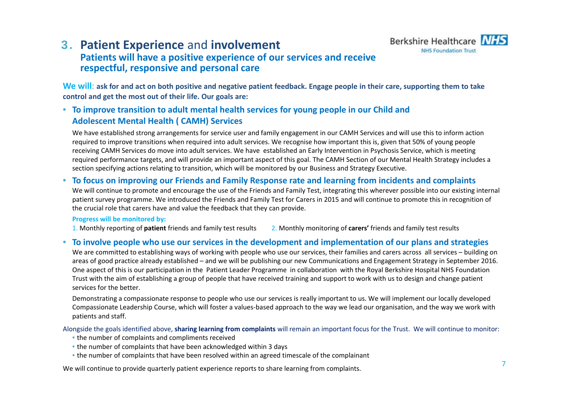

## 3. **Patient Experience** and **involvement**

## **Patients will have <sup>a</sup> positive experience of our services and receive respectful, responsive and personal care**

We will: ask for and act on both positive and negative patient feedback. Engage people in their care, supporting them to take **control and get the most out of their life. Our goals are:**

### • **To improve transition to adult mental health services for young people in our Child and Adolescent Mental Health ( CAMH) Services**

We have established strong arrangements for service user and family engagement in our CAMH Services and will use this to inform action required to improve transitions when required into adult services. We recognise how important this is, given that 50% of young people receiving CAMH Services do move into adult services. We have established an Early Intervention in Psychosis Service, which is meeting required performance targets, and will provide an important aspect of this goal. The CAMH Section of our Mental Health Strategy includes <sup>a</sup> section specifying actions relating to transition, which will be monitored by our Business and Strategy Executive.

#### • **To focus on improving our Friends and Family Response rate and learning from incidents and complaints**

We will continue to promote and encourage the use of the Friends and Family Test, integrating this wherever possible into our existing internal patient survey programme. We introduced the Friends and Family Test for Carers in 2015 and will continue to promote this in recognition of the crucial role that carers have and value the feedback that they can provide.

#### **Progress will be monitored by:**

1. Monthly reporting of patient friends and family test results Monthly reporting of **patient** friends and family test results 2. Monthly monitoring of **carers'** friends and family test results

#### • To involve people who use our services in the development and implementation of our plans and strategies

We are committed to establishing ways of working with people who use our services, their families and carers across all services – building on areas of good practice already established – and we will be publishing our new Communications and Engagement Strategy in September 2016. One aspect of this is our participation in the Patient Leader Programme in collaboration with the Royal Berkshire Hospital NHS Foundation Trust with the aim of establishing <sup>a</sup> group of people that have received training and support to work with us to design and change patient services for the better.

Demonstrating <sup>a</sup> compassionate response to people who use our services is really important to us. We will implement our locally developed Compassionate Leadership Course, which will foster <sup>a</sup> values‐based approach to the way we lead our organisation, and the way we work with patients and staff.

Alongside the goals identified above, **sharing learning from complaints** will remain an important focus for the Trust. We will continue to monitor:

- the number of complaints and compliments received
- the number of complaints that have been acknowledged within 3 days
- the number of complaints that have been resolved within an agreed timescale of the complainant

We will continue to provide quarterly patient experience reports to share learning from complaints.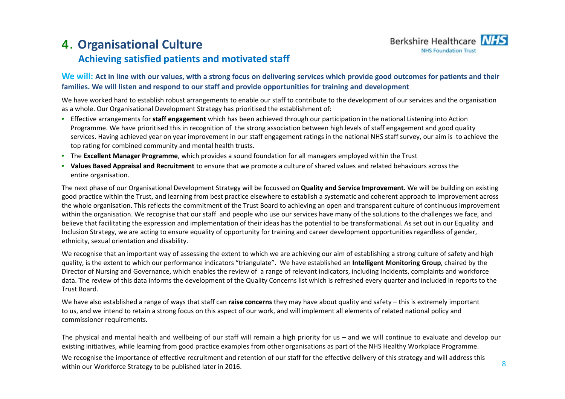## 4. **Organisational Culture Achieving satisfied patients and motivated staff**



### We will: Act in line with our values, with a strong focus on delivering services which provide good outcomes for patients and their **families. We will listen and respond to our staff and provide opportunities for training and development**

We have worked hard to establish robust arrangements to enable our staff to contribute to the development of our services and the organisation as a whole. Our Organisational Development Strategy has prioritised the establishment of:

- Effective arrangements for **staff engagement** which has been achieved through our participation in the national Listening into Action Programme. We have prioritised this in recognition of the strong association between high levels of staff engagement and good quality services. Having achieved year on year improvement in our staff engagement ratings in the national NHS staff survey, our aim is to achieve the top rating for combined community and mental health trusts.
- The **Excellent Manager Programme**, which provides <sup>a</sup> sound foundation for all managers employed within the Trust
- **Values Based Appraisal and Recruitment** to ensure that we promote <sup>a</sup> culture of shared values and related behaviours across the entire organisation.

The next phase of our Organisational Development Strategy will be focussed on **Quality and Service Improvement**. We will be building on existing good practice within the Trust, and learning from best practice elsewhere to establish <sup>a</sup> systematic and coherent approach to improvement across the whole organisation. This reflects the commitment of the Trust Board to achieving an open and transparent culture of continuous improvement within the organisation. We recognise that our staff and people who use our services have many of the solutions to the challenges we face, and believe that facilitating the expression and implementation of their ideas has the potential to be transformational. As set out in our Equality and Inclusion Strategy, we are acting to ensure equality of opportunity for training and career development opportunities regardless of gender, ethnicity, sexual orientation and disability.

We recognise that an important way of assessing the extent to which we are achieving our aim of establishing <sup>a</sup> strong culture of safety and high quality, is the extent to which our performance indicators "triangulate". We have established an **Intelligent Monitoring Group**, chaired by the Director of Nursing and Governance, which enables the review of <sup>a</sup> range of relevant indicators, including Incidents, complaints and workforce data. The review of this data informs the development of the Quality Concerns list which is refreshed every quarter and included in reports to the Trust Board.

We have also established <sup>a</sup> range of ways that staff can **raise concerns** they may have about quality and safety – this is extremely important to us, and we intend to retain <sup>a</sup> strong focus on this aspect of our work, and will implement all elements of related national policy and commissioner requirements.

The physical and mental health and wellbeing of our staff will remain <sup>a</sup> high priority for us – and we will continue to evaluate and develop our existing initiatives, while learning from good practice examples from other organisations as part of the NHS Healthy Workplace Programme.

We recognise the importance of effective recruitment and retention of our staff for the effective delivery of this strategy and will address this within our Workforce Strategy to be published later in 2016.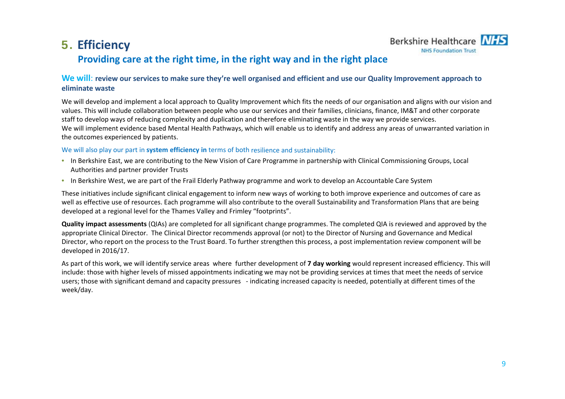## 5. **Efficiency**



## **Providing care at the right time, in the right way and in the right place**

#### We will: review our services to make sure they're well organised and efficient and use our Quality Improvement approach to **eliminate waste**

We will develop and implement <sup>a</sup> local approach to Quality Improvement which fits the needs of our organisation and aligns with our vision and values. This will include collaboration between people who use our services and their families, clinicians, finance, IM&T and other corporate staff to develop ways of reducing complexity and duplication and therefore eliminating waste in the way we provide services. We will implement evidence based Mental Health Pathways, which will enable us to identify and address any areas of unwarranted variation in the outcomes experienced by patients.

#### We will also play our part in **system efficiency in** terms of both resilience and sustainability:

- In Berkshire East, we are contributing to the New Vision of Care Programme in partnership with Clinical Commissioning Groups, Local Authorities and partner provider Trusts
- In Berkshire West, we are part of the Frail Elderly Pathway programme and work to develop an Accountable Care System

These initiatives include significant clinical engagement to inform new ways of working to both improve experience and outcomes of care as well as effective use of resources. Each programme will also contribute to the overall Sustainability and Transformation Plans that are being developed at <sup>a</sup> regional level for the Thames Valley and Frimley "footprints".

**Quality impact assessments** (QIAs) are completed for all significant change programmes. The completed QIA is reviewed and approved by the appropriate Clinical Director. The Clinical Director recommends approval (or not) to the Director of Nursing and Governance and Medical Director, who report on the process to the Trust Board. To further strengthen this process, <sup>a</sup> post implementation review component will be developed in 2016/17.

As part of this work, we will identify service areas where further development of **7 day working** would represent increased efficiency. This will include: those with higher levels of missed appointments indicating we may not be providing services at times that meet the needs of service users; those with significant demand and capacity pressures ‐ indicating increased capacity is needed, potentially at different times of the week/day.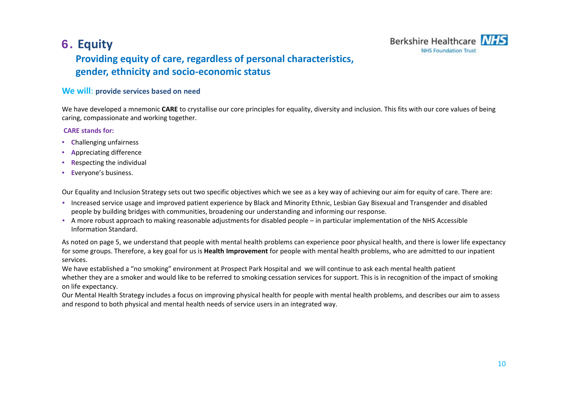## 6. **Equity**



## **Providing equity of care, regardless of personal characteristics, gender, ethnicity and socio‐economic status**

#### **We will**: **provide services based on need**

We have developed <sup>a</sup> mnemonic **CARE** to crystallise our core principles for equality, diversity and inclusion. This fits with our core values of being caring, compassionate and working together.

#### **CARE stands for:**

- **C**hallenging unfairness
- **A**ppreciating difference
- **R**especting the individual
- **E**veryone's business.

Our Equality and Inclusion Strategy sets out two specific objectives which we see as <sup>a</sup> key way of achieving our aim for equity of care. There are:

- Increased service usage and improved patient experience by Black and Minority Ethnic, Lesbian Gay Bisexual and Transgender and disabled people by building bridges with communities, broadening our understanding and informing our response.
- A more robust approach to making reasonable adjustments for disabled people in particular implementation of the NHS Accessible Information Standard.

As noted on page 5, we understand that people with mental health problems can experience poor physical health, and there is lower life expectancy for some groups. Therefore, <sup>a</sup> key goal for us is **Health Improvement** for people with mental health problems, who are admitted to our inpatient services.

We have established <sup>a</sup> "no smoking" environment at Prospect Park Hospital and we will continue to ask each mental health patient whether they are <sup>a</sup> smoker and would like to be referred to smoking cessation services for support. This is in recognition of the impact of smoking on life expectancy.

Our Mental Health Strategy includes <sup>a</sup> focus on improving physical health for people with mental health problems, and describes our aim to assess and respond to both physical and mental health needs of service users in an integrated way.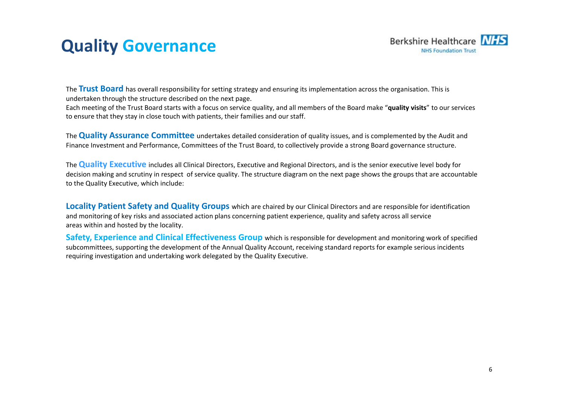## **Quality Governance**



The **Trust Board** has overall responsibility for setting strategy and ensuring its implementation across the organisation. This is undertaken through the structure described on the next page.

Each meeting of the Trust Board starts with <sup>a</sup> focus on service quality, and all members of the Board make "**quality visits**" to our services to ensure that they stay in close touch with patients, their families and our staff.

The **Quality Assurance Committee** undertakes detailed consideration of quality issues, and is complemented by the Audit and Finance Investment and Performance, Committees of the Trust Board, to collectively provide <sup>a</sup> strong Board governance structure.

The **Quality Executive** includes all Clinical Directors, Executive and Regional Directors, and is the senior executive level body for decision making and scrutiny in respect of service quality. The structure diagram on the next page shows the groups that are accountable to the Quality Executive, which include:

**Locality Patient Safety and Quality Groups** which are chaired by our Clinical Directors and are responsible for identification and monitoring of key risks and associated action plans concerning patient experience, quality and safety across all service areas within and hosted by the locality.

**Safety, Experience and Clinical Effectiveness Group** which is responsible for development and monitoring work of specified subcommittees, supporting the development of the Annual Quality Account, receiving standard reports for example serious incidents requiring investigation and undertaking work delegated by the Quality Executive.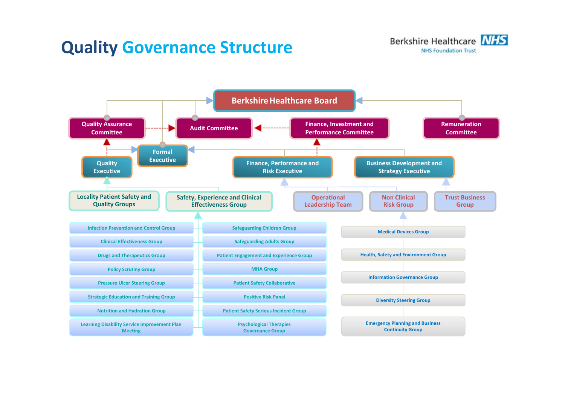## **Quality Governance Structure**